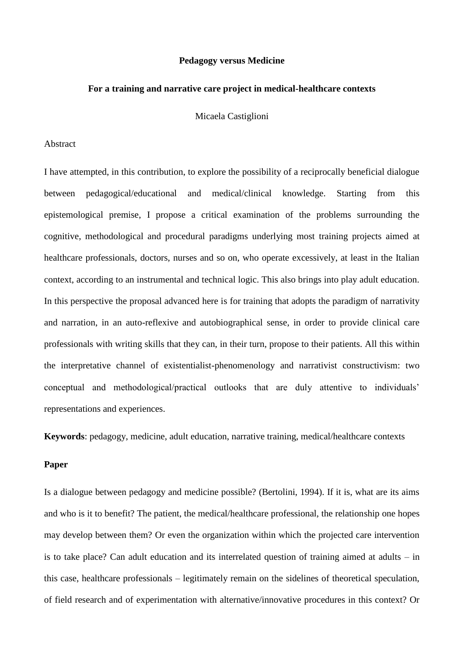## **Pedagogy versus Medicine**

#### **For a training and narrative care project in medical-healthcare contexts**

Micaela Castiglioni

# Abstract

I have attempted, in this contribution, to explore the possibility of a reciprocally beneficial dialogue between pedagogical/educational and medical/clinical knowledge. Starting from this epistemological premise, I propose a critical examination of the problems surrounding the cognitive, methodological and procedural paradigms underlying most training projects aimed at healthcare professionals, doctors, nurses and so on, who operate excessively, at least in the Italian context, according to an instrumental and technical logic. This also brings into play adult education. In this perspective the proposal advanced here is for training that adopts the paradigm of narrativity and narration, in an auto-reflexive and autobiographical sense, in order to provide clinical care professionals with writing skills that they can, in their turn, propose to their patients. All this within the interpretative channel of existentialist-phenomenology and narrativist constructivism: two conceptual and methodological/practical outlooks that are duly attentive to individuals' representations and experiences.

**Keywords**: pedagogy, medicine, adult education, narrative training, medical/healthcare contexts

## **Paper**

Is a dialogue between pedagogy and medicine possible? (Bertolini, 1994). If it is, what are its aims and who is it to benefit? The patient, the medical/healthcare professional, the relationship one hopes may develop between them? Or even the organization within which the projected care intervention is to take place? Can adult education and its interrelated question of training aimed at adults – in this case, healthcare professionals – legitimately remain on the sidelines of theoretical speculation, of field research and of experimentation with alternative/innovative procedures in this context? Or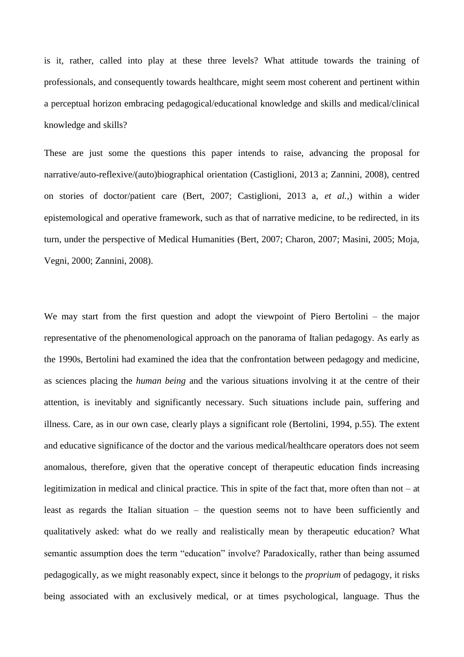is it, rather, called into play at these three levels? What attitude towards the training of professionals, and consequently towards healthcare, might seem most coherent and pertinent within a perceptual horizon embracing pedagogical/educational knowledge and skills and medical/clinical knowledge and skills?

These are just some the questions this paper intends to raise, advancing the proposal for narrative/auto-reflexive/(auto)biographical orientation (Castiglioni, 2013 a; Zannini, 2008), centred on stories of doctor/patient care (Bert, 2007; Castiglioni, 2013 a, *et al.,*) within a wider epistemological and operative framework, such as that of narrative medicine, to be redirected, in its turn, under the perspective of Medical Humanities (Bert, 2007; Charon, 2007; Masini, 2005; Moja, Vegni, 2000; Zannini, 2008).

We may start from the first question and adopt the viewpoint of Piero Bertolini – the major representative of the phenomenological approach on the panorama of Italian pedagogy. As early as the 1990s, Bertolini had examined the idea that the confrontation between pedagogy and medicine, as sciences placing the *human being* and the various situations involving it at the centre of their attention, is inevitably and significantly necessary. Such situations include pain, suffering and illness. Care, as in our own case, clearly plays a significant role (Bertolini, 1994, p.55). The extent and educative significance of the doctor and the various medical/healthcare operators does not seem anomalous, therefore, given that the operative concept of therapeutic education finds increasing legitimization in medical and clinical practice. This in spite of the fact that, more often than not – at least as regards the Italian situation – the question seems not to have been sufficiently and qualitatively asked: what do we really and realistically mean by therapeutic education? What semantic assumption does the term "education" involve? Paradoxically, rather than being assumed pedagogically, as we might reasonably expect, since it belongs to the *proprium* of pedagogy, it risks being associated with an exclusively medical, or at times psychological, language. Thus the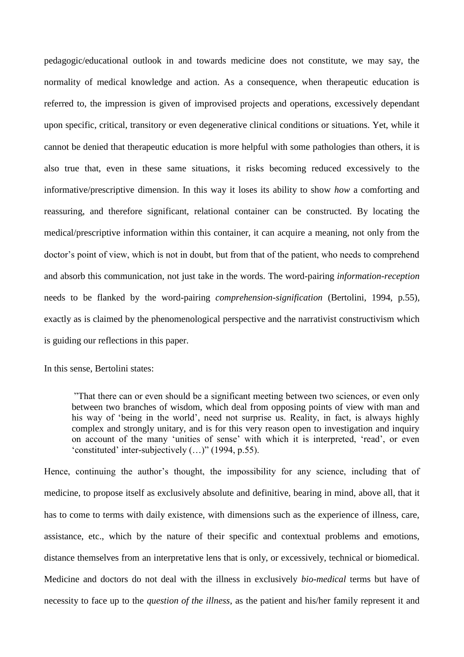pedagogic/educational outlook in and towards medicine does not constitute, we may say, the normality of medical knowledge and action. As a consequence, when therapeutic education is referred to, the impression is given of improvised projects and operations, excessively dependant upon specific, critical, transitory or even degenerative clinical conditions or situations. Yet, while it cannot be denied that therapeutic education is more helpful with some pathologies than others, it is also true that, even in these same situations, it risks becoming reduced excessively to the informative/prescriptive dimension. In this way it loses its ability to show *how* a comforting and reassuring, and therefore significant, relational container can be constructed. By locating the medical/prescriptive information within this container, it can acquire a meaning, not only from the doctor's point of view, which is not in doubt, but from that of the patient, who needs to comprehend and absorb this communication, not just take in the words. The word-pairing *information-reception* needs to be flanked by the word-pairing *comprehension-signification* (Bertolini, 1994, p.55), exactly as is claimed by the phenomenological perspective and the narrativist constructivism which is guiding our reflections in this paper.

In this sense, Bertolini states:

"That there can or even should be a significant meeting between two sciences, or even only between two branches of wisdom, which deal from opposing points of view with man and his way of 'being in the world', need not surprise us. Reality, in fact, is always highly complex and strongly unitary, and is for this very reason open to investigation and inquiry on account of the many 'unities of sense' with which it is interpreted, 'read', or even 'constituted' inter-subjectively (…)" (1994, p.55).

Hence, continuing the author's thought, the impossibility for any science, including that of medicine, to propose itself as exclusively absolute and definitive, bearing in mind, above all, that it has to come to terms with daily existence, with dimensions such as the experience of illness, care, assistance, etc., which by the nature of their specific and contextual problems and emotions, distance themselves from an interpretative lens that is only, or excessively, technical or biomedical. Medicine and doctors do not deal with the illness in exclusively *bio-medical* terms but have of necessity to face up to the *question of the illness*, as the patient and his/her family represent it and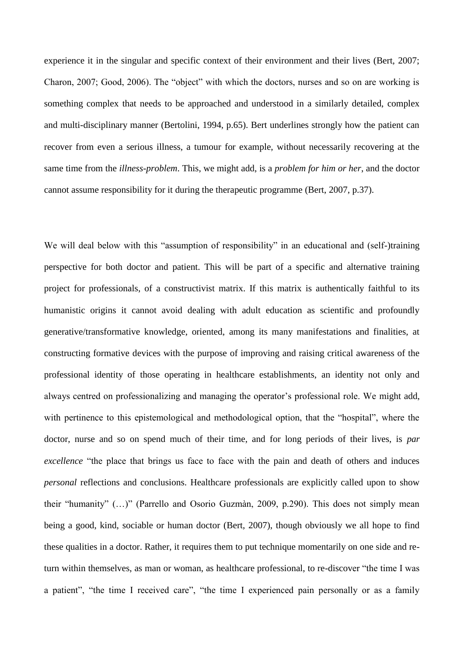experience it in the singular and specific context of their environment and their lives (Bert, 2007; Charon, 2007; Good, 2006). The "object" with which the doctors, nurses and so on are working is something complex that needs to be approached and understood in a similarly detailed, complex and multi-disciplinary manner (Bertolini, 1994, p.65). Bert underlines strongly how the patient can recover from even a serious illness, a tumour for example, without necessarily recovering at the same time from the *illness-problem*. This, we might add, is a *problem for him or her*, and the doctor cannot assume responsibility for it during the therapeutic programme (Bert, 2007, p.37).

We will deal below with this "assumption of responsibility" in an educational and (self-)training perspective for both doctor and patient. This will be part of a specific and alternative training project for professionals, of a constructivist matrix. If this matrix is authentically faithful to its humanistic origins it cannot avoid dealing with adult education as scientific and profoundly generative/transformative knowledge, oriented, among its many manifestations and finalities, at constructing formative devices with the purpose of improving and raising critical awareness of the professional identity of those operating in healthcare establishments, an identity not only and always centred on professionalizing and managing the operator's professional role. We might add, with pertinence to this epistemological and methodological option, that the "hospital", where the doctor, nurse and so on spend much of their time, and for long periods of their lives, is *par excellence* "the place that brings us face to face with the pain and death of others and induces *personal* reflections and conclusions. Healthcare professionals are explicitly called upon to show their "humanity" (…)" (Parrello and Osorio Guzmàn, 2009, p.290). This does not simply mean being a good, kind, sociable or human doctor (Bert, 2007), though obviously we all hope to find these qualities in a doctor. Rather, it requires them to put technique momentarily on one side and return within themselves, as man or woman, as healthcare professional, to re-discover "the time I was a patient", "the time I received care", "the time I experienced pain personally or as a family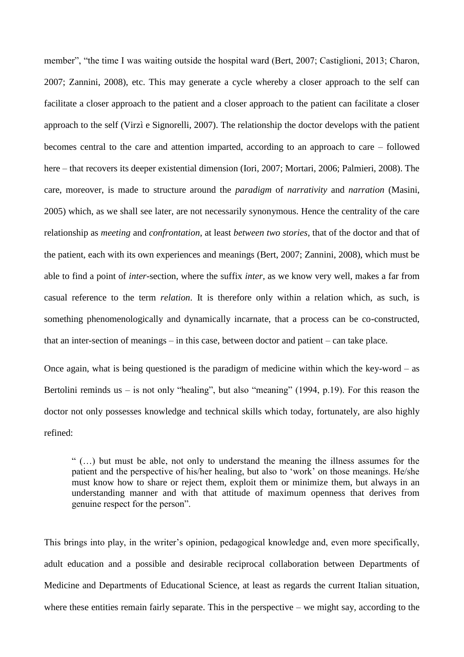member", "the time I was waiting outside the hospital ward (Bert, 2007; Castiglioni, 2013; Charon, 2007; Zannini, 2008), etc. This may generate a cycle whereby a closer approach to the self can facilitate a closer approach to the patient and a closer approach to the patient can facilitate a closer approach to the self (Virzì e Signorelli, 2007). The relationship the doctor develops with the patient becomes central to the care and attention imparted, according to an approach to care – followed here – that recovers its deeper existential dimension (Iori, 2007; Mortari, 2006; Palmieri, 2008). The care, moreover, is made to structure around the *paradigm* of *narrativity* and *narration* (Masini, 2005) which, as we shall see later, are not necessarily synonymous. Hence the centrality of the care relationship as *meeting* and *confrontation*, at least *between two stories*, that of the doctor and that of the patient, each with its own experiences and meanings (Bert, 2007; Zannini, 2008), which must be able to find a point of *inter*-section, where the suffix *inter,* as we know very well, makes a far from casual reference to the term *relation*. It is therefore only within a relation which, as such, is something phenomenologically and dynamically incarnate, that a process can be co-constructed, that an inter-section of meanings – in this case, between doctor and patient – can take place.

Once again, what is being questioned is the paradigm of medicine within which the key-word – as Bertolini reminds us  $-$  is not only "healing", but also "meaning" (1994, p.19). For this reason the doctor not only possesses knowledge and technical skills which today, fortunately, are also highly refined:

" (…) but must be able, not only to understand the meaning the illness assumes for the patient and the perspective of his/her healing, but also to 'work' on those meanings. He/she must know how to share or reject them, exploit them or minimize them, but always in an understanding manner and with that attitude of maximum openness that derives from genuine respect for the person".

This brings into play, in the writer's opinion, pedagogical knowledge and, even more specifically, adult education and a possible and desirable reciprocal collaboration between Departments of Medicine and Departments of Educational Science, at least as regards the current Italian situation, where these entities remain fairly separate. This in the perspective  $-$  we might say, according to the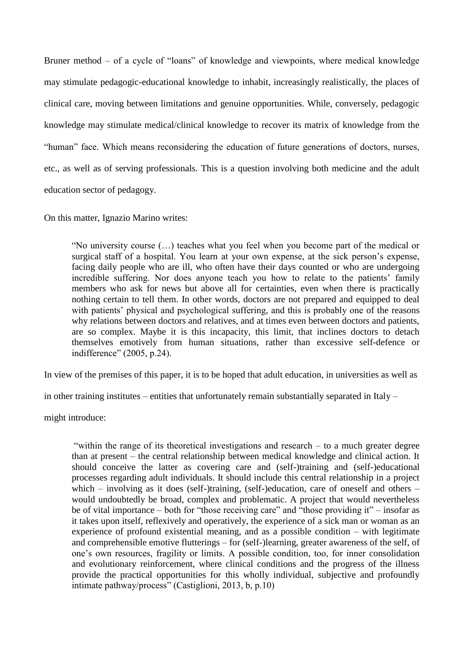Bruner method – of a cycle of "loans" of knowledge and viewpoints, where medical knowledge may stimulate pedagogic-educational knowledge to inhabit, increasingly realistically, the places of clinical care, moving between limitations and genuine opportunities. While, conversely, pedagogic knowledge may stimulate medical/clinical knowledge to recover its matrix of knowledge from the "human" face. Which means reconsidering the education of future generations of doctors, nurses, etc., as well as of serving professionals. This is a question involving both medicine and the adult education sector of pedagogy.

On this matter, Ignazio Marino writes:

"No university course (…) teaches what you feel when you become part of the medical or surgical staff of a hospital. You learn at your own expense, at the sick person's expense, facing daily people who are ill, who often have their days counted or who are undergoing incredible suffering. Nor does anyone teach you how to relate to the patients' family members who ask for news but above all for certainties, even when there is practically nothing certain to tell them. In other words, doctors are not prepared and equipped to deal with patients' physical and psychological suffering, and this is probably one of the reasons why relations between doctors and relatives, and at times even between doctors and patients, are so complex. Maybe it is this incapacity, this limit, that inclines doctors to detach themselves emotively from human situations, rather than excessive self-defence or indifference" (2005, p.24).

In view of the premises of this paper, it is to be hoped that adult education, in universities as well as

in other training institutes – entities that unfortunately remain substantially separated in Italy –

might introduce:

"within the range of its theoretical investigations and research – to a much greater degree than at present – the central relationship between medical knowledge and clinical action. It should conceive the latter as covering care and (self-)training and (self-)educational processes regarding adult individuals. It should include this central relationship in a project which – involving as it does (self-)training, (self-)education, care of oneself and others – would undoubtedly be broad, complex and problematic. A project that would nevertheless be of vital importance – both for "those receiving care" and "those providing it" – insofar as it takes upon itself, reflexively and operatively, the experience of a sick man or woman as an experience of profound existential meaning, and as a possible condition – with legitimate and comprehensible emotive flutterings – for (self-)learning, greater awareness of the self, of one's own resources, fragility or limits. A possible condition, too, for inner consolidation and evolutionary reinforcement, where clinical conditions and the progress of the illness provide the practical opportunities for this wholly individual, subjective and profoundly intimate pathway/process" (Castiglioni, 2013, b, p.10)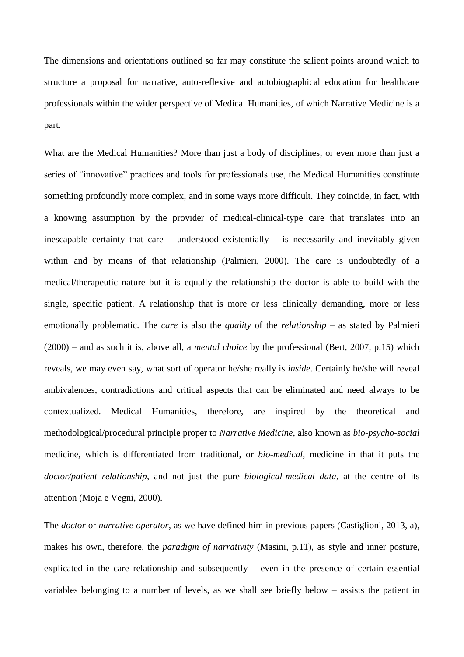The dimensions and orientations outlined so far may constitute the salient points around which to structure a proposal for narrative, auto-reflexive and autobiographical education for healthcare professionals within the wider perspective of Medical Humanities, of which Narrative Medicine is a part.

What are the Medical Humanities? More than just a body of disciplines, or even more than just a series of "innovative" practices and tools for professionals use, the Medical Humanities constitute something profoundly more complex, and in some ways more difficult. They coincide, in fact, with a knowing assumption by the provider of medical-clinical-type care that translates into an inescapable certainty that care – understood existentially – is necessarily and inevitably given within and by means of that relationship (Palmieri, 2000). The care is undoubtedly of a medical/therapeutic nature but it is equally the relationship the doctor is able to build with the single, specific patient. A relationship that is more or less clinically demanding, more or less emotionally problematic. The *care* is also the *quality* of the *relationship* – as stated by Palmieri (2000) – and as such it is, above all, a *mental choice* by the professional (Bert, 2007, p.15) which reveals, we may even say, what sort of operator he/she really is *inside*. Certainly he/she will reveal ambivalences, contradictions and critical aspects that can be eliminated and need always to be contextualized. Medical Humanities, therefore, are inspired by the theoretical and methodological/procedural principle proper to *Narrative Medicine*, also known as *bio-psycho-social*  medicine*,* which is differentiated from traditional, or *bio-medical*, medicine in that it puts the *doctor/patient relationship*, and not just the pure *biological-medical data*, at the centre of its attention (Moja e Vegni, 2000).

The *doctor* or *narrative operator*, as we have defined him in previous papers (Castiglioni, 2013, a), makes his own, therefore, the *paradigm of narrativity* (Masini, p.11), as style and inner posture, explicated in the care relationship and subsequently – even in the presence of certain essential variables belonging to a number of levels, as we shall see briefly below – assists the patient in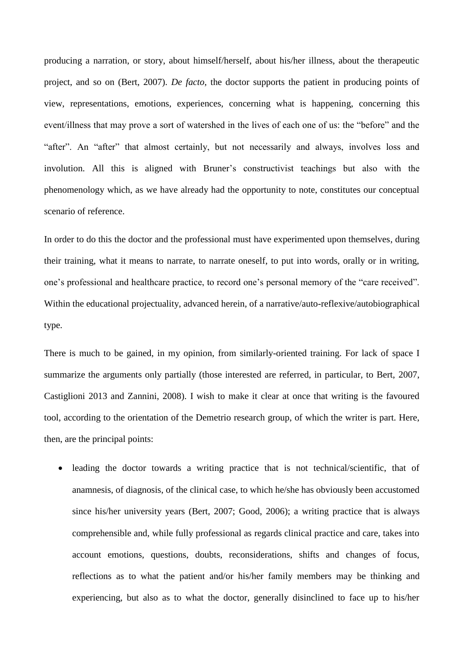producing a narration, or story, about himself/herself, about his/her illness, about the therapeutic project, and so on (Bert, 2007). *De facto*, the doctor supports the patient in producing points of view, representations, emotions, experiences, concerning what is happening, concerning this event/illness that may prove a sort of watershed in the lives of each one of us: the "before" and the "after". An "after" that almost certainly, but not necessarily and always, involves loss and involution. All this is aligned with Bruner's constructivist teachings but also with the phenomenology which, as we have already had the opportunity to note, constitutes our conceptual scenario of reference.

In order to do this the doctor and the professional must have experimented upon themselves, during their training, what it means to narrate, to narrate oneself, to put into words, orally or in writing, one's professional and healthcare practice, to record one's personal memory of the "care received". Within the educational projectuality, advanced herein, of a narrative/auto-reflexive/autobiographical type.

There is much to be gained, in my opinion, from similarly-oriented training. For lack of space I summarize the arguments only partially (those interested are referred, in particular, to Bert, 2007, Castiglioni 2013 and Zannini, 2008). I wish to make it clear at once that writing is the favoured tool, according to the orientation of the Demetrio research group, of which the writer is part. Here, then, are the principal points:

• leading the doctor towards a writing practice that is not technical/scientific, that of anamnesis, of diagnosis, of the clinical case, to which he/she has obviously been accustomed since his/her university years (Bert, 2007; Good, 2006); a writing practice that is always comprehensible and, while fully professional as regards clinical practice and care, takes into account emotions, questions, doubts, reconsiderations, shifts and changes of focus, reflections as to what the patient and/or his/her family members may be thinking and experiencing, but also as to what the doctor, generally disinclined to face up to his/her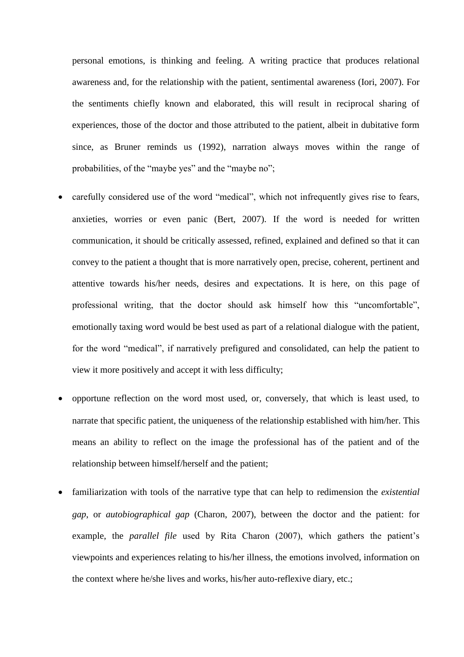personal emotions, is thinking and feeling. A writing practice that produces relational awareness and, for the relationship with the patient, sentimental awareness (Iori, 2007). For the sentiments chiefly known and elaborated, this will result in reciprocal sharing of experiences, those of the doctor and those attributed to the patient, albeit in dubitative form since, as Bruner reminds us (1992), narration always moves within the range of probabilities, of the "maybe yes" and the "maybe no";

- carefully considered use of the word "medical", which not infrequently gives rise to fears, anxieties, worries or even panic (Bert, 2007). If the word is needed for written communication, it should be critically assessed, refined, explained and defined so that it can convey to the patient a thought that is more narratively open, precise, coherent, pertinent and attentive towards his/her needs, desires and expectations. It is here, on this page of professional writing, that the doctor should ask himself how this "uncomfortable", emotionally taxing word would be best used as part of a relational dialogue with the patient, for the word "medical", if narratively prefigured and consolidated, can help the patient to view it more positively and accept it with less difficulty;
- opportune reflection on the word most used, or, conversely, that which is least used, to narrate that specific patient, the uniqueness of the relationship established with him/her. This means an ability to reflect on the image the professional has of the patient and of the relationship between himself/herself and the patient;
- familiarization with tools of the narrative type that can help to redimension the *existential gap*, or *autobiographical gap* (Charon, 2007), between the doctor and the patient: for example, the *parallel file* used by Rita Charon (2007), which gathers the patient's viewpoints and experiences relating to his/her illness, the emotions involved, information on the context where he/she lives and works, his/her auto-reflexive diary, etc.;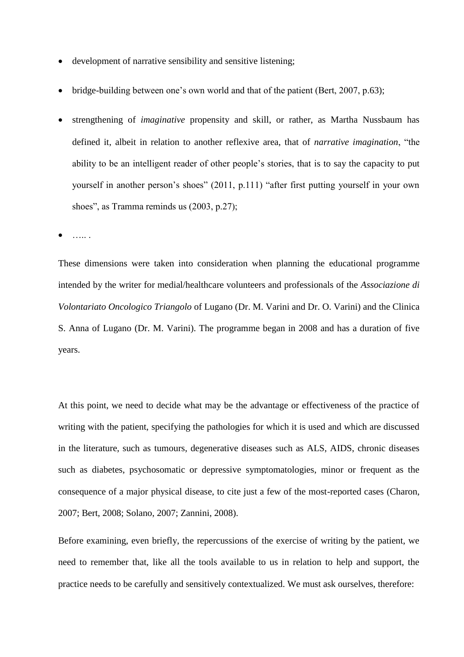- development of narrative sensibility and sensitive listening;
- bridge-building between one's own world and that of the patient (Bert, 2007, p.63);
- strengthening of *imaginative* propensity and skill, or rather, as Martha Nussbaum has defined it, albeit in relation to another reflexive area, that of *narrative imagination*, "the ability to be an intelligent reader of other people's stories, that is to say the capacity to put yourself in another person's shoes" (2011, p.111) "after first putting yourself in your own shoes", as Tramma reminds us  $(2003, p.27)$ ;

….. .

These dimensions were taken into consideration when planning the educational programme intended by the writer for medial/healthcare volunteers and professionals of the *Associazione di Volontariato Oncologico Triangolo* of Lugano (Dr. M. Varini and Dr. O. Varini) and the Clinica S. Anna of Lugano (Dr. M. Varini). The programme began in 2008 and has a duration of five years.

At this point, we need to decide what may be the advantage or effectiveness of the practice of writing with the patient, specifying the pathologies for which it is used and which are discussed in the literature, such as tumours, degenerative diseases such as ALS, AIDS, chronic diseases such as diabetes, psychosomatic or depressive symptomatologies, minor or frequent as the consequence of a major physical disease, to cite just a few of the most-reported cases (Charon, 2007; Bert, 2008; Solano, 2007; Zannini, 2008).

Before examining, even briefly, the repercussions of the exercise of writing by the patient, we need to remember that, like all the tools available to us in relation to help and support, the practice needs to be carefully and sensitively contextualized. We must ask ourselves, therefore: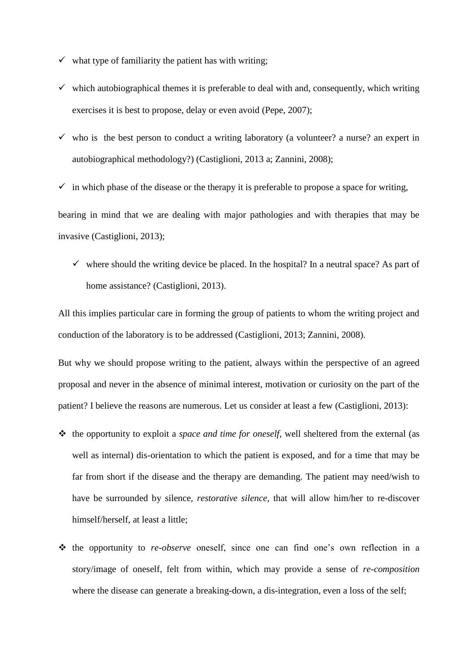- $\checkmark$  what type of familiarity the patient has with writing;
- $\checkmark$  which autobiographical themes it is preferable to deal with and, consequently, which writing exercises it is best to propose, delay or even avoid (Pepe, 2007);
- $\checkmark$  who is the best person to conduct a writing laboratory (a volunteer? a nurse? an expert in autobiographical methodology?) (Castiglioni, 2013 a; Zannini, 2008);
- $\checkmark$  in which phase of the disease or the therapy it is preferable to propose a space for writing,

bearing in mind that we are dealing with major pathologies and with therapies that may be invasive (Castiglioni, 2013);

 $\checkmark$  where should the writing device be placed. In the hospital? In a neutral space? As part of home assistance? (Castiglioni, 2013).

All this implies particular care in forming the group of patients to whom the writing project and conduction of the laboratory is to be addressed (Castiglioni, 2013; Zannini, 2008).

But why we should propose writing to the patient, always within the perspective of an agreed proposal and never in the absence of minimal interest, motivation or curiosity on the part of the patient? I believe the reasons are numerous. Let us consider at least a few (Castiglioni, 2013):

- the opportunity to exploit a *space and time for oneself*, well sheltered from the external (as well as internal) dis-orientation to which the patient is exposed, and for a time that may be far from short if the disease and the therapy are demanding. The patient may need/wish to have be surrounded by silence, *restorative silence*, that will allow him/her to re-discover himself/herself, at least a little;
- \* the opportunity to *re-observe* oneself, since one can find one's own reflection in a story/image of oneself, felt from within, which may provide a sense of *re-composition*  where the disease can generate a breaking-down, a dis-integration, even a loss of the self;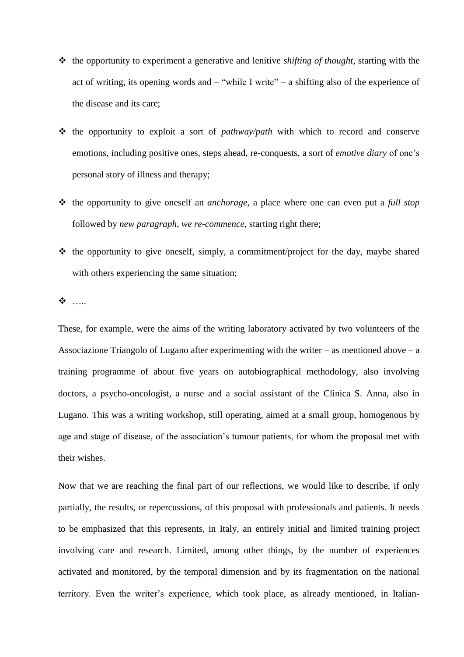- the opportunity to experiment a generative and lenitive *shifting of thought*, starting with the act of writing, its opening words and – "while I write" – a shifting also of the experience of the disease and its care;
- \* the opportunity to exploit a sort of *pathway/path* with which to record and conserve emotions, including positive ones, steps ahead, re-conquests, a sort of *emotive diary* of one's personal story of illness and therapy;
- the opportunity to give oneself an *anchorage*, a place where one can even put a *full stop*  followed by *new paragraph, we re-commence,* starting right there;
- $\triangle$  the opportunity to give oneself, simply, a commitment/project for the day, maybe shared with others experiencing the same situation:

**※**……

These, for example, were the aims of the writing laboratory activated by two volunteers of the Associazione Triangolo of Lugano after experimenting with the writer – as mentioned above – a training programme of about five years on autobiographical methodology, also involving doctors, a psycho-oncologist, a nurse and a social assistant of the Clinica S. Anna, also in Lugano. This was a writing workshop, still operating, aimed at a small group, homogenous by age and stage of disease, of the association's tumour patients, for whom the proposal met with their wishes.

Now that we are reaching the final part of our reflections, we would like to describe, if only partially, the results, or repercussions, of this proposal with professionals and patients. It needs to be emphasized that this represents, in Italy, an entirely initial and limited training project involving care and research. Limited, among other things, by the number of experiences activated and monitored, by the temporal dimension and by its fragmentation on the national territory. Even the writer's experience, which took place, as already mentioned, in Italian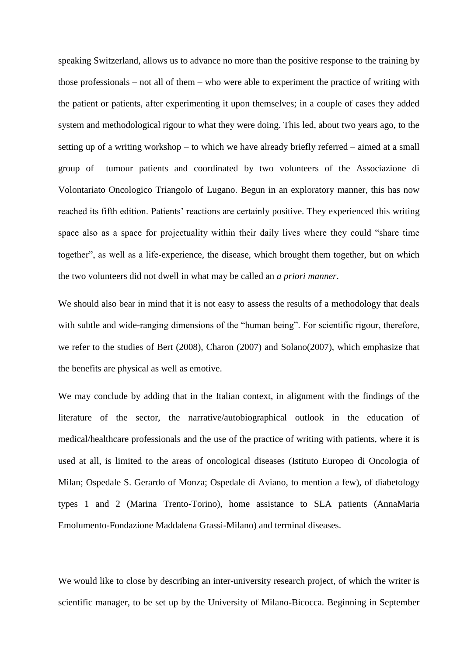speaking Switzerland, allows us to advance no more than the positive response to the training by those professionals – not all of them – who were able to experiment the practice of writing with the patient or patients, after experimenting it upon themselves; in a couple of cases they added system and methodological rigour to what they were doing. This led, about two years ago, to the setting up of a writing workshop – to which we have already briefly referred – aimed at a small group of tumour patients and coordinated by two volunteers of the Associazione di Volontariato Oncologico Triangolo of Lugano. Begun in an exploratory manner, this has now reached its fifth edition. Patients' reactions are certainly positive. They experienced this writing space also as a space for projectuality within their daily lives where they could "share time together", as well as a life-experience, the disease, which brought them together, but on which the two volunteers did not dwell in what may be called an *a priori manner*.

We should also bear in mind that it is not easy to assess the results of a methodology that deals with subtle and wide-ranging dimensions of the "human being". For scientific rigour, therefore, we refer to the studies of Bert (2008), Charon (2007) and Solano(2007), which emphasize that the benefits are physical as well as emotive.

We may conclude by adding that in the Italian context, in alignment with the findings of the literature of the sector, the narrative/autobiographical outlook in the education of medical/healthcare professionals and the use of the practice of writing with patients, where it is used at all, is limited to the areas of oncological diseases (Istituto Europeo di Oncologia of Milan; Ospedale S. Gerardo of Monza; Ospedale di Aviano, to mention a few), of diabetology types 1 and 2 (Marina Trento-Torino), home assistance to SLA patients (AnnaMaria Emolumento-Fondazione Maddalena Grassi-Milano) and terminal diseases.

We would like to close by describing an inter-university research project, of which the writer is scientific manager, to be set up by the University of Milano-Bicocca. Beginning in September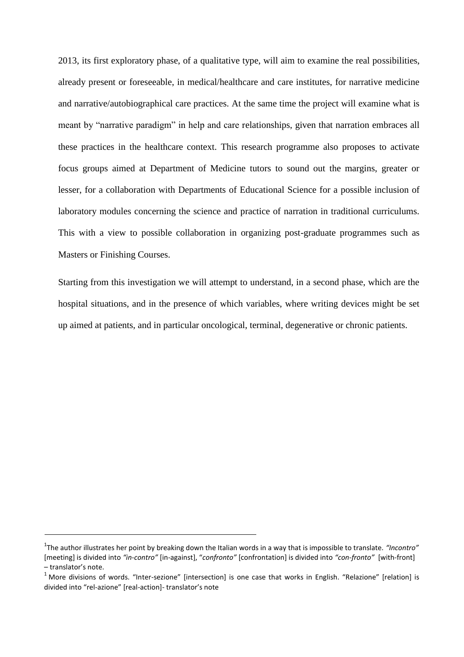2013, its first exploratory phase, of a qualitative type, will aim to examine the real possibilities, already present or foreseeable, in medical/healthcare and care institutes, for narrative medicine and narrative/autobiographical care practices. At the same time the project will examine what is meant by "narrative paradigm" in help and care relationships, given that narration embraces all these practices in the healthcare context. This research programme also proposes to activate focus groups aimed at Department of Medicine tutors to sound out the margins, greater or lesser, for a collaboration with Departments of Educational Science for a possible inclusion of laboratory modules concerning the science and practice of narration in traditional curriculums. This with a view to possible collaboration in organizing post-graduate programmes such as Masters or Finishing Courses.

Starting from this investigation we will attempt to understand, in a second phase, which are the hospital situations, and in the presence of which variables, where writing devices might be set up aimed at patients, and in particular oncological, terminal, degenerative or chronic patients.

<sup>1</sup> The author illustrates her point by breaking down the Italian words in a way that is impossible to translate. *"Incontro"*  [meeting] is divided into *"in-contro"* [in-against], "*confronto"* [confrontation] is divided into *"con-fronto"* [with-front] – translator's note.

 $1$  More divisions of words. "Inter-sezione" [intersection] is one case that works in English. "Relazione" [relation] is divided into "rel-azione" [real-action]- translator's note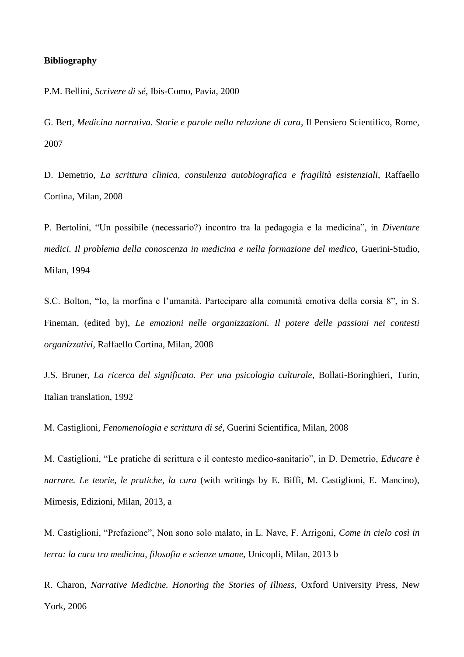## **Bibliography**

P.M. Bellini, *Scrivere di sé*, Ibis-Como, Pavia, 2000

G. Bert, *Medicina narrativa. Storie e parole nella relazione di cura*, Il Pensiero Scientifico, Rome, 2007

D. Demetrio, *La scrittura clinica, consulenza autobiografica e fragilità esistenziali*, Raffaello Cortina, Milan, 2008

P. Bertolini, "Un possibile (necessario?) incontro tra la pedagogia e la medicina", in *Diventare medici. Il problema della conoscenza in medicina e nella formazione del medico,* Guerini-Studio, Milan, 1994

S.C. Bolton, "Io, la morfina e l'umanità. Partecipare alla comunità emotiva della corsia 8", in S. Fineman, (edited by), *Le emozioni nelle organizzazioni. Il potere delle passioni nei contesti organizzativi,* Raffaello Cortina, Milan, 2008

J.S. Bruner, *La ricerca del significato. Per una psicologia culturale*, Bollati-Boringhieri, Turin, Italian translation, 1992

M. Castiglioni, *Fenomenologia e scrittura di sé*, Guerini Scientifica, Milan, 2008

M. Castiglioni, "Le pratiche di scrittura e il contesto medico-sanitario", in D. Demetrio, *Educare è narrare. Le teorie, le pratiche, la cura* (with writings by E. Biffi, M. Castiglioni, E. Mancino), Mimesis, Edizioni, Milan, 2013, a

M. Castiglioni, "Prefazione", Non sono solo malato, in L. Nave, F. Arrigoni, *Come in cielo così in terra: la cura tra medicina, filosofia e scienze umane,* Unicopli, Milan, 2013 b

R. Charon, *Narrative Medicine. Honoring the Stories of Illness,* Oxford University Press, New York, 2006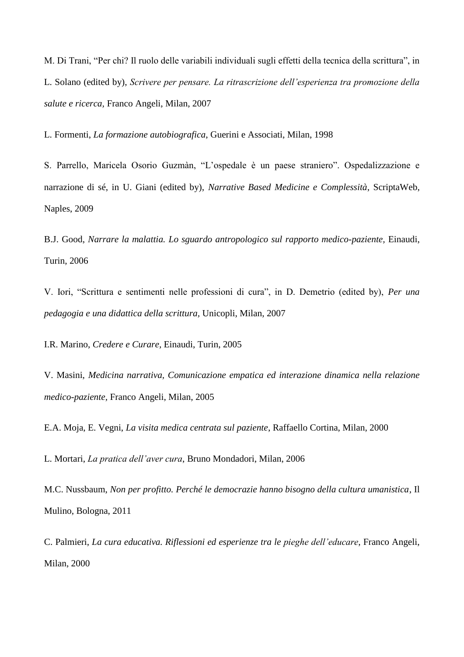M. Di Trani, "Per chi? Il ruolo delle variabili individuali sugli effetti della tecnica della scrittura", in L. Solano (edited by), *Scrivere per pensare. La ritrascrizione dell'esperienza tra promozione della salute e ricerca,* Franco Angeli, Milan, 2007

L. Formenti, *La formazione autobiografica*, Guerini e Associati, Milan, 1998

S. Parrello, Maricela Osorio Guzmàn, "L'ospedale è un paese straniero". Ospedalizzazione e narrazione di sé, in U. Giani (edited by), *Narrative Based Medicine e Complessità*, ScriptaWeb, Naples, 2009

B.J. Good, *Narrare la malattia. Lo sguardo antropologico sul rapporto medico-paziente,* Einaudi, Turin, 2006

V. Iori, "Scrittura e sentimenti nelle professioni di cura", in D. Demetrio (edited by), *Per una pedagogia e una didattica della scrittura,* Unicopli, Milan, 2007

I.R. Marino, *Credere e Curare,* Einaudi, Turin, 2005

V. Masini, *Medicina narrativa, Comunicazione empatica ed interazione dinamica nella relazione medico-paziente,* Franco Angeli, Milan, 2005

E.A. Moja, E. Vegni, *La visita medica centrata sul paziente*, Raffaello Cortina, Milan, 2000

L. Mortari, *La pratica dell'aver cura*, Bruno Mondadori, Milan, 2006

M.C. Nussbaum, *Non per profitto. Perché le democrazie hanno bisogno della cultura umanistica*, Il Mulino, Bologna, 2011

C. Palmieri, *La cura educativa. Riflessioni ed esperienze tra le pieghe dell'educare*, Franco Angeli, Milan, 2000